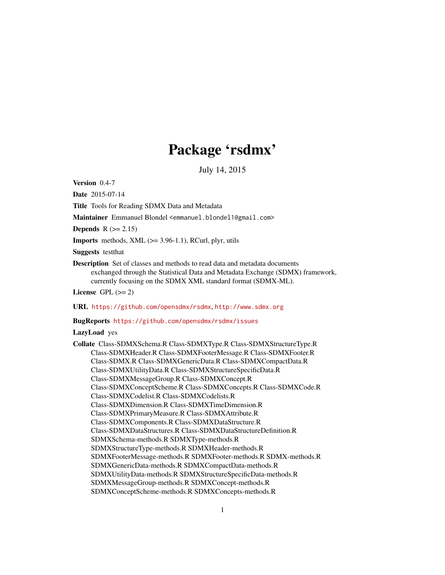# Package 'rsdmx'

July 14, 2015

Version 0.4-7

Date 2015-07-14

Title Tools for Reading SDMX Data and Metadata

Maintainer Emmanuel Blondel <emmanuel.blondel1@gmail.com>

**Depends**  $R$  ( $>= 2.15$ )

**Imports** methods, XML  $(>= 3.96-1.1)$ , RCurl, plyr, utils

Suggests testthat

Description Set of classes and methods to read data and metadata documents exchanged through the Statistical Data and Metadata Exchange (SDMX) framework, currently focusing on the SDMX XML standard format (SDMX-ML).

License GPL  $(>= 2)$ 

URL <https://github.com/opensdmx/rsdmx>, <http://www.sdmx.org>

#### BugReports <https://github.com/opensdmx/rsdmx/issues>

LazyLoad yes

Collate Class-SDMXSchema.R Class-SDMXType.R Class-SDMXStructureType.R Class-SDMXHeader.R Class-SDMXFooterMessage.R Class-SDMXFooter.R Class-SDMX.R Class-SDMXGenericData.R Class-SDMXCompactData.R Class-SDMXUtilityData.R Class-SDMXStructureSpecificData.R Class-SDMXMessageGroup.R Class-SDMXConcept.R Class-SDMXConceptScheme.R Class-SDMXConcepts.R Class-SDMXCode.R Class-SDMXCodelist.R Class-SDMXCodelists.R Class-SDMXDimension.R Class-SDMXTimeDimension.R Class-SDMXPrimaryMeasure.R Class-SDMXAttribute.R Class-SDMXComponents.R Class-SDMXDataStructure.R Class-SDMXDataStructures.R Class-SDMXDataStructureDefinition.R SDMXSchema-methods.R SDMXType-methods.R SDMXStructureType-methods.R SDMXHeader-methods.R SDMXFooterMessage-methods.R SDMXFooter-methods.R SDMX-methods.R SDMXGenericData-methods.R SDMXCompactData-methods.R SDMXUtilityData-methods.R SDMXStructureSpecificData-methods.R SDMXMessageGroup-methods.R SDMXConcept-methods.R SDMXConceptScheme-methods.R SDMXConcepts-methods.R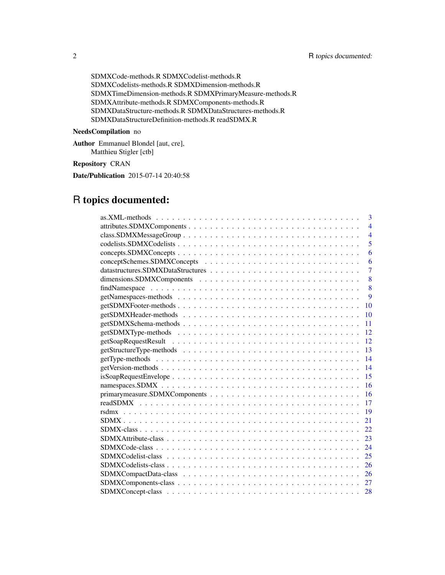SDMXCode-methods.R SDMXCodelist-methods.R SDMXCodelists-methods.R SDMXDimension-methods.R SDMXTimeDimension-methods.R SDMXPrimaryMeasure-methods.R SDMXAttribute-methods.R SDMXComponents-methods.R SDMXDataStructure-methods.R SDMXDataStructures-methods.R SDMXDataStructureDefinition-methods.R readSDMX.R

## NeedsCompilation no

Author Emmanuel Blondel [aut, cre], Matthieu Stigler [ctb]

## Repository CRAN

Date/Publication 2015-07-14 20:40:58

## R topics documented: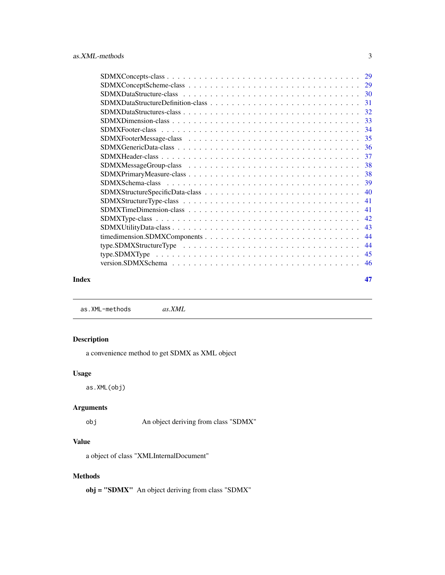<span id="page-2-0"></span>

| 31  |
|-----|
| 32  |
|     |
| -34 |
|     |
|     |
|     |
|     |
|     |
|     |
|     |
| 41  |
| 41  |
| 42  |
| 43  |
| 44  |
| 44  |
| 45  |
| 46  |
|     |

## **Index** [47](#page-46-0)

as.XML-methods *as.XML*

## Description

a convenience method to get SDMX as XML object

## Usage

as.XML(obj)

## Arguments

obj An object deriving from class "SDMX"

## Value

a object of class "XMLInternalDocument"

## Methods

obj = "SDMX" An object deriving from class "SDMX"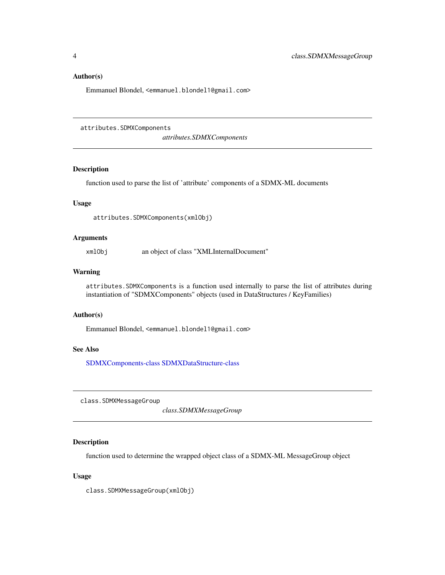#### <span id="page-3-0"></span>Author(s)

Emmanuel Blondel, <emmanuel.blondel1@gmail.com>

attributes.SDMXComponents

*attributes.SDMXComponents*

## Description

function used to parse the list of 'attribute' components of a SDMX-ML documents

## Usage

attributes.SDMXComponents(xmlObj)

#### Arguments

xmlObj an object of class "XMLInternalDocument"

#### Warning

attributes.SDMXComponents is a function used internally to parse the list of attributes during instantiation of "SDMXComponents" objects (used in DataStructures / KeyFamilies)

#### Author(s)

Emmanuel Blondel, <emmanuel.blondel1@gmail.com>

#### See Also

[SDMXComponents-class](#page-26-1) [SDMXDataStructure-class](#page-29-1)

class.SDMXMessageGroup

*class.SDMXMessageGroup*

#### Description

function used to determine the wrapped object class of a SDMX-ML MessageGroup object

## Usage

class.SDMXMessageGroup(xmlObj)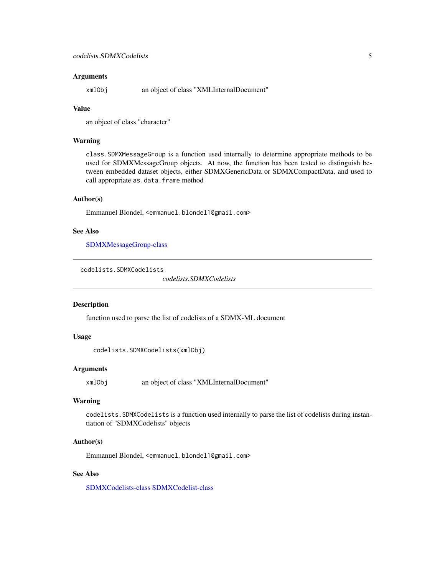#### <span id="page-4-0"></span>**Arguments**

xmlObj an object of class "XMLInternalDocument"

## Value

an object of class "character"

#### Warning

class.SDMXMessageGroup is a function used internally to determine appropriate methods to be used for SDMXMessageGroup objects. At now, the function has been tested to distinguish between embedded dataset objects, either SDMXGenericData or SDMXCompactData, and used to call appropriate as.data.frame method

#### Author(s)

Emmanuel Blondel, <emmanuel.blondel1@gmail.com>

#### See Also

[SDMXMessageGroup-class](#page-37-1)

```
codelists.SDMXCodelists
```
*codelists.SDMXCodelists*

#### Description

function used to parse the list of codelists of a SDMX-ML document

#### Usage

```
codelists.SDMXCodelists(xmlObj)
```
#### Arguments

xmlObj an object of class "XMLInternalDocument"

#### Warning

codelists.SDMXCodelists is a function used internally to parse the list of codelists during instantiation of "SDMXCodelists" objects

#### Author(s)

Emmanuel Blondel, <emmanuel.blondel1@gmail.com>

#### See Also

[SDMXCodelists-class](#page-25-1) [SDMXCodelist-class](#page-24-1)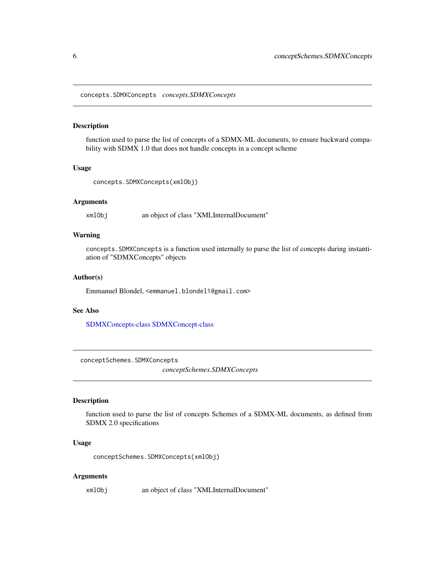<span id="page-5-0"></span>concepts.SDMXConcepts *concepts.SDMXConcepts*

#### Description

function used to parse the list of concepts of a SDMX-ML documents, to ensure backward compability with SDMX 1.0 that does not handle concepts in a concept scheme

#### Usage

```
concepts.SDMXConcepts(xmlObj)
```
#### Arguments

xmlObj an object of class "XMLInternalDocument"

## Warning

concepts.SDMXConcepts is a function used internally to parse the list of concepts during instantiation of "SDMXConcepts" objects

#### Author(s)

Emmanuel Blondel, <emmanuel.blondel1@gmail.com>

#### See Also

[SDMXConcepts-class](#page-28-1) [SDMXConcept-class](#page-27-1)

conceptSchemes.SDMXConcepts

*conceptSchemes.SDMXConcepts*

#### Description

function used to parse the list of concepts Schemes of a SDMX-ML documents, as defined from SDMX 2.0 specifications

#### Usage

conceptSchemes.SDMXConcepts(xmlObj)

#### Arguments

xmlObj an object of class "XMLInternalDocument"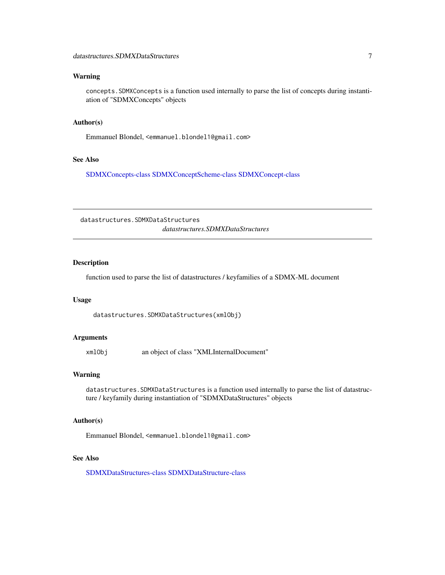## <span id="page-6-0"></span>Warning

concepts.SDMXConcepts is a function used internally to parse the list of concepts during instantiation of "SDMXConcepts" objects

#### Author(s)

Emmanuel Blondel, <emmanuel.blondel1@gmail.com>

## See Also

[SDMXConcepts-class](#page-28-1) [SDMXConceptScheme-class](#page-28-2) [SDMXConcept-class](#page-27-1)

datastructures.SDMXDataStructures *datastructures.SDMXDataStructures*

## Description

function used to parse the list of datastructures / keyfamilies of a SDMX-ML document

#### Usage

datastructures.SDMXDataStructures(xmlObj)

#### Arguments

xmlObj an object of class "XMLInternalDocument"

#### Warning

datastructures.SDMXDataStructures is a function used internally to parse the list of datastructure / keyfamily during instantiation of "SDMXDataStructures" objects

#### Author(s)

Emmanuel Blondel, <emmanuel.blondel1@gmail.com>

#### See Also

[SDMXDataStructures-class](#page-31-1) [SDMXDataStructure-class](#page-29-1)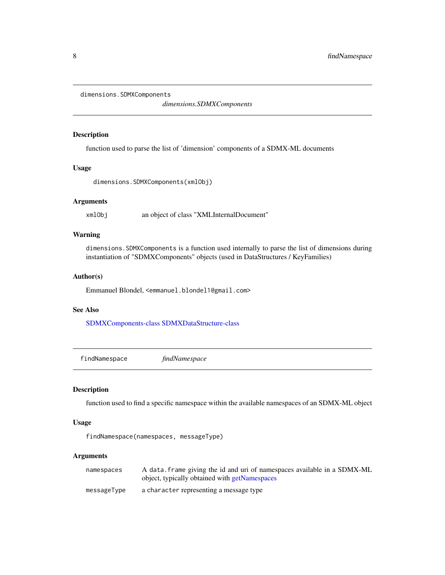<span id="page-7-0"></span>dimensions.SDMXComponents

*dimensions.SDMXComponents*

#### Description

function used to parse the list of 'dimension' components of a SDMX-ML documents

#### Usage

dimensions.SDMXComponents(xmlObj)

#### Arguments

xmlObj an object of class "XMLInternalDocument"

## Warning

dimensions.SDMXComponents is a function used internally to parse the list of dimensions during instantiation of "SDMXComponents" objects (used in DataStructures / KeyFamilies)

#### Author(s)

Emmanuel Blondel, <emmanuel.blondel1@gmail.com>

## See Also

[SDMXComponents-class](#page-26-1) [SDMXDataStructure-class](#page-29-1)

findNamespace *findNamespace*

## Description

function used to find a specific namespace within the available namespaces of an SDMX-ML object

## Usage

```
findNamespace(namespaces, messageType)
```
## Arguments

| namespaces  | A data frame giving the id and uri of namespaces available in a SDMX-ML<br>object, typically obtained with getNamespaces |
|-------------|--------------------------------------------------------------------------------------------------------------------------|
| messageType | a character representing a message type                                                                                  |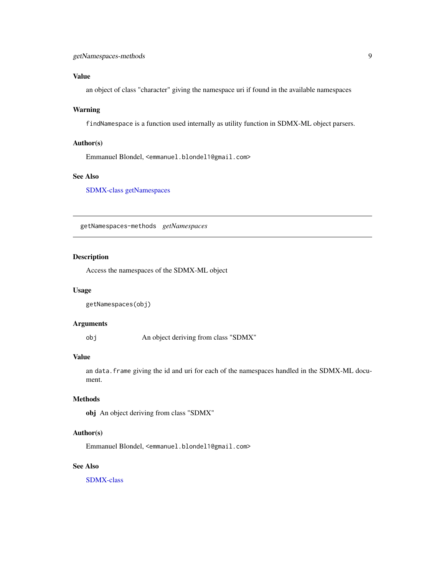## <span id="page-8-0"></span>Value

an object of class "character" giving the namespace uri if found in the available namespaces

## Warning

findNamespace is a function used internally as utility function in SDMX-ML object parsers.

## Author(s)

Emmanuel Blondel, <emmanuel.blondel1@gmail.com>

## See Also

[SDMX-class](#page-21-1) [getNamespaces](#page-8-1)

getNamespaces-methods *getNamespaces*

## <span id="page-8-1"></span>Description

Access the namespaces of the SDMX-ML object

#### Usage

```
getNamespaces(obj)
```
## Arguments

obj An object deriving from class "SDMX"

## Value

an data. frame giving the id and uri for each of the namespaces handled in the SDMX-ML document.

## Methods

obj An object deriving from class "SDMX"

#### Author(s)

Emmanuel Blondel, <emmanuel.blondel1@gmail.com>

#### See Also

[SDMX-class](#page-21-1)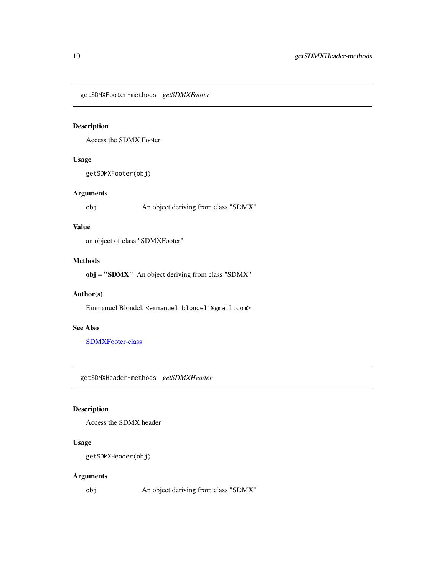<span id="page-9-0"></span>getSDMXFooter-methods *getSDMXFooter*

## Description

Access the SDMX Footer

## Usage

getSDMXFooter(obj)

## Arguments

obj An object deriving from class "SDMX"

#### Value

an object of class "SDMXFooter"

#### Methods

obj = "SDMX" An object deriving from class "SDMX"

## Author(s)

Emmanuel Blondel, <emmanuel.blondel1@gmail.com>

## See Also

[SDMXFooter-class](#page-33-1)

getSDMXHeader-methods *getSDMXHeader*

## Description

Access the SDMX header

## Usage

```
getSDMXHeader(obj)
```
#### Arguments

obj An object deriving from class "SDMX"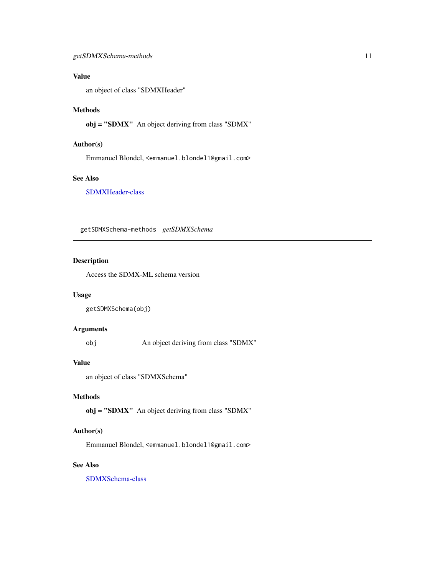## <span id="page-10-0"></span>Value

an object of class "SDMXHeader"

## Methods

obj = "SDMX" An object deriving from class "SDMX"

## Author(s)

Emmanuel Blondel, <emmanuel.blondel1@gmail.com>

#### See Also

[SDMXHeader-class](#page-36-1)

getSDMXSchema-methods *getSDMXSchema*

#### <span id="page-10-1"></span>Description

Access the SDMX-ML schema version

#### Usage

```
getSDMXSchema(obj)
```
#### Arguments

obj An object deriving from class "SDMX"

#### Value

an object of class "SDMXSchema"

#### Methods

obj = "SDMX" An object deriving from class "SDMX"

## Author(s)

Emmanuel Blondel, <emmanuel.blondel1@gmail.com>

## See Also

[SDMXSchema-class](#page-38-1)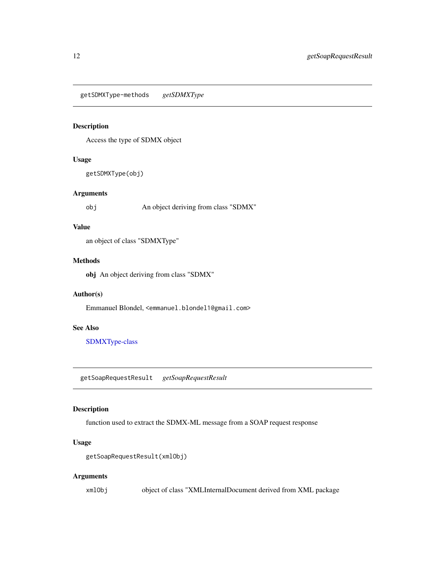<span id="page-11-0"></span>getSDMXType-methods *getSDMXType*

## <span id="page-11-1"></span>Description

Access the type of SDMX object

## Usage

getSDMXType(obj)

## Arguments

obj An object deriving from class "SDMX"

#### Value

an object of class "SDMXType"

## Methods

obj An object deriving from class "SDMX"

## Author(s)

Emmanuel Blondel, <emmanuel.blondel1@gmail.com>

## See Also

[SDMXType-class](#page-41-1)

getSoapRequestResult *getSoapRequestResult*

## Description

function used to extract the SDMX-ML message from a SOAP request response

## Usage

getSoapRequestResult(xmlObj)

#### Arguments

xmlObj object of class "XMLInternalDocument derived from XML package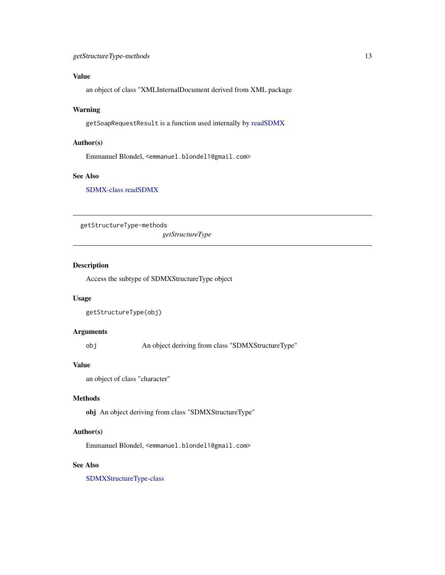## <span id="page-12-0"></span>Value

an object of class "XMLInternalDocument derived from XML package

## Warning

getSoapRequestResult is a function used internally by [readSDMX](#page-16-1)

## Author(s)

Emmanuel Blondel, <emmanuel.blondel1@gmail.com>

## See Also

[SDMX-class](#page-21-1) [readSDMX](#page-16-1)

getStructureType-methods

*getStructureType*

## Description

Access the subtype of SDMXStructureType object

## Usage

```
getStructureType(obj)
```
## Arguments

obj An object deriving from class "SDMXStructureType"

## Value

an object of class "character"

#### Methods

obj An object deriving from class "SDMXStructureType"

## Author(s)

Emmanuel Blondel, <emmanuel.blondel1@gmail.com>

## See Also

[SDMXStructureType-class](#page-40-1)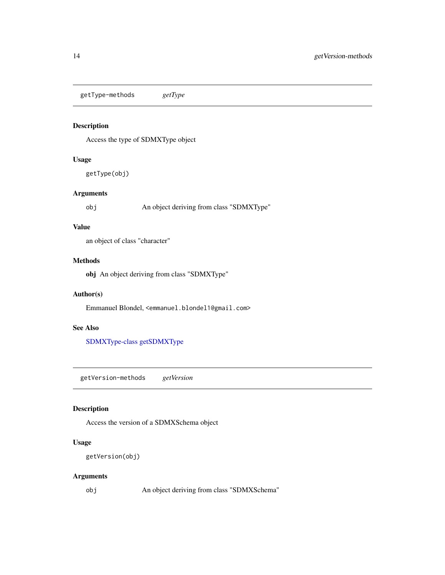<span id="page-13-0"></span>getType-methods *getType*

## Description

Access the type of SDMXType object

## Usage

getType(obj)

## Arguments

obj An object deriving from class "SDMXType"

#### Value

an object of class "character"

#### Methods

obj An object deriving from class "SDMXType"

## Author(s)

Emmanuel Blondel, <emmanuel.blondel1@gmail.com>

## See Also

[SDMXType-class](#page-41-1) [getSDMXType](#page-11-1)

getVersion-methods *getVersion*

## Description

Access the version of a SDMXSchema object

## Usage

```
getVersion(obj)
```
#### Arguments

obj An object deriving from class "SDMXSchema"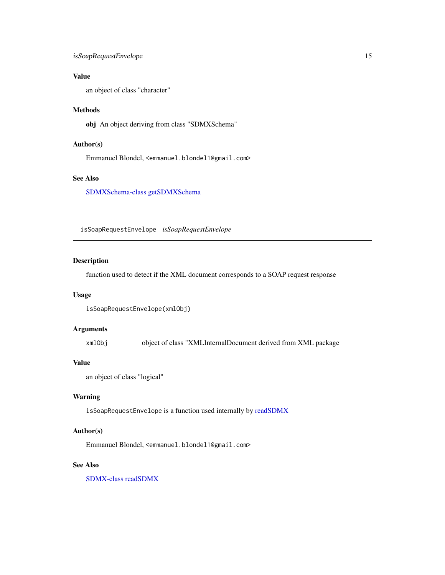## <span id="page-14-0"></span>isSoapRequestEnvelope 15

## Value

an object of class "character"

## Methods

obj An object deriving from class "SDMXSchema"

## Author(s)

Emmanuel Blondel, <emmanuel.blondel1@gmail.com>

## See Also

[SDMXSchema-class](#page-38-1) [getSDMXSchema](#page-10-1)

isSoapRequestEnvelope *isSoapRequestEnvelope*

## Description

function used to detect if the XML document corresponds to a SOAP request response

#### Usage

```
isSoapRequestEnvelope(xmlObj)
```
## Arguments

xmlObj object of class "XMLInternalDocument derived from XML package

## Value

```
an object of class "logical"
```
## Warning

isSoapRequestEnvelope is a function used internally by [readSDMX](#page-16-1)

## Author(s)

Emmanuel Blondel, <emmanuel.blondel1@gmail.com>

## See Also

[SDMX-class](#page-21-1) [readSDMX](#page-16-1)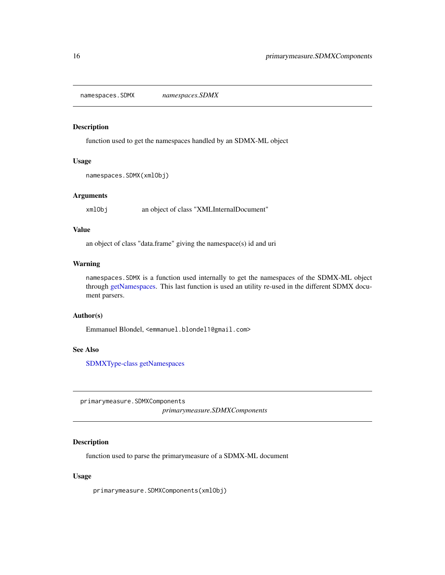<span id="page-15-0"></span>namespaces.SDMX *namespaces.SDMX*

## Description

function used to get the namespaces handled by an SDMX-ML object

#### Usage

```
namespaces.SDMX(xmlObj)
```
## Arguments

xmlObj an object of class "XMLInternalDocument"

#### Value

an object of class "data.frame" giving the namespace(s) id and uri

## Warning

namespaces.SDMX is a function used internally to get the namespaces of the SDMX-ML object through [getNamespaces.](#page-8-1) This last function is used an utility re-used in the different SDMX document parsers.

#### Author(s)

Emmanuel Blondel, <emmanuel.blondel1@gmail.com>

## See Also

[SDMXType-class](#page-41-1) [getNamespaces](#page-8-1)

primarymeasure.SDMXComponents *primarymeasure.SDMXComponents*

#### Description

function used to parse the primarymeasure of a SDMX-ML document

## Usage

primarymeasure.SDMXComponents(xmlObj)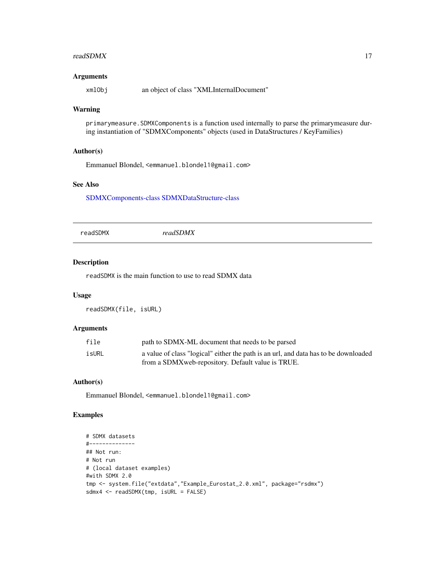#### <span id="page-16-0"></span>readSDMX  $17$

## Arguments

xmlObj an object of class "XMLInternalDocument"

## Warning

primarymeasure.SDMXComponents is a function used internally to parse the primarymeasure during instantiation of "SDMXComponents" objects (used in DataStructures / KeyFamilies)

## Author(s)

Emmanuel Blondel, <emmanuel.blondel1@gmail.com>

## See Also

[SDMXComponents-class](#page-26-1) [SDMXDataStructure-class](#page-29-1)

<span id="page-16-1"></span>

|--|--|

#### Description

readSDMX is the main function to use to read SDMX data

## Usage

readSDMX(file, isURL)

## Arguments

| file  | path to SDMX-ML document that needs to be parsed                                    |
|-------|-------------------------------------------------------------------------------------|
| isURL | a value of class "logical" either the path is an url, and data has to be downloaded |
|       | from a SDMX web-repository. Default value is TRUE.                                  |

#### Author(s)

Emmanuel Blondel, <emmanuel.blondel1@gmail.com>

## Examples

```
# SDMX datasets
#--------------
## Not run:
# Not run
# (local dataset examples)
#with SDMX 2.0
tmp <- system.file("extdata","Example_Eurostat_2.0.xml", package="rsdmx")
sdmx4 <- readSDMX(tmp, isURL = FALSE)
```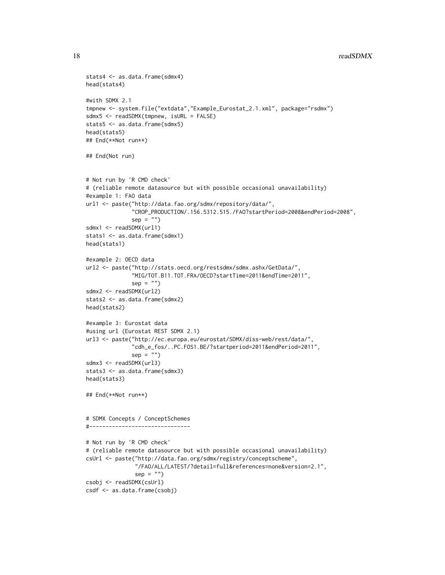#### 18 readSDMX

```
stats4 <- as.data.frame(sdmx4)
head(stats4)
#with SDMX 2.1
tmpnew <- system.file("extdata","Example_Eurostat_2.1.xml", package="rsdmx")
sdmx5 <- readSDMX(tmpnew, isURL = FALSE)
stats5 <- as.data.frame(sdmx5)
head(stats5)
## End(**Not run**)
## End(Not run)
# Not run by 'R CMD check'
# (reliable remote datasource but with possible occasional unavailability)
#example 1: FAO data
url1 <- paste("http://data.fao.org/sdmx/repository/data/",
              "CROP_PRODUCTION/.156.5312.515./FAO?startPeriod=2008&endPeriod=2008",
              sep = "")sdmx1 <- readSDMX(url1)
stats1 <- as.data.frame(sdmx1)
head(stats1)
#example 2: OECD data
url2 <- paste("http://stats.oecd.org/restsdmx/sdmx.ashx/GetData/",
              "MIG/TOT.B11.TOT.FRA/OECD?startTime=2011&endTime=2011",
              sep = "")sdmx2 <- readSDMX(url2)
stats2 <- as.data.frame(sdmx2)
head(stats2)
#example 3: Eurostat data
#using url (Eurostat REST SDMX 2.1)
url3 <- paste("http://ec.europa.eu/eurostat/SDMX/diss-web/rest/data/",
              "cdh_e_fos/..PC.FOS1.BE/?startperiod=2011&endPeriod=2011",
              sep = "")sdmx3 <- readSDMX(url3)
stats3 <- as.data.frame(sdmx3)
head(stats3)
## End(**Not run**)
# SDMX Concepts / ConceptSchemes
#-------------------------------
# Not run by 'R CMD check'
# (reliable remote datasource but with possible occasional unavailability)
csUrl <- paste("http://data.fao.org/sdmx/registry/conceptscheme",
               "/FAO/ALL/LATEST/?detail=full&references=none&version=2.1",
               sep = "")csobj <- readSDMX(csUrl)
csdf <- as.data.frame(csobj)
```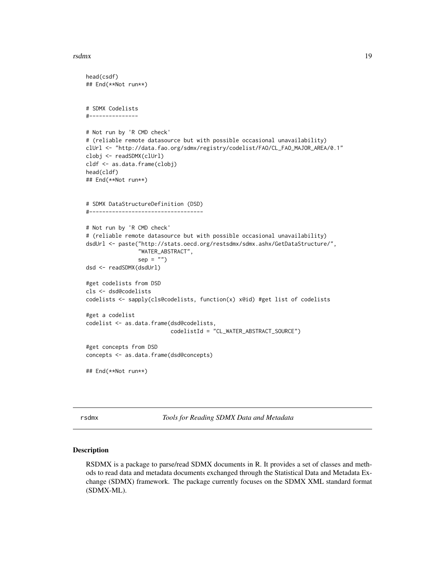#### <span id="page-18-0"></span>rsdmx and the control of the control of the control of the control of the control of the control of the control of the control of the control of the control of the control of the control of the control of the control of th

```
head(csdf)
## End(**Not run**)
# SDMX Codelists
#---------------
# Not run by 'R CMD check'
# (reliable remote datasource but with possible occasional unavailability)
clUrl <- "http://data.fao.org/sdmx/registry/codelist/FAO/CL_FAO_MAJOR_AREA/0.1"
clobj <- readSDMX(clUrl)
cldf <- as.data.frame(clobj)
head(cldf)
## End(**Not run**)
# SDMX DataStructureDefinition (DSD)
#-----------------------------------
# Not run by 'R CMD check'
# (reliable remote datasource but with possible occasional unavailability)
dsdUrl <- paste("http://stats.oecd.org/restsdmx/sdmx.ashx/GetDataStructure/",
                "WATER_ABSTRACT",
                sep = "")dsd <- readSDMX(dsdUrl)
#get codelists from DSD
cls <- dsd@codelists
codelists <- sapply(cls@codelists, function(x) x@id) #get list of codelists
#get a codelist
codelist <- as.data.frame(dsd@codelists,
                          codelistId = "CL_WATER_ABSTRACT_SOURCE")
#get concepts from DSD
concepts <- as.data.frame(dsd@concepts)
## End(**Not run**)
```
<span id="page-18-1"></span>

rsdmx *Tools for Reading SDMX Data and Metadata*

#### Description

RSDMX is a package to parse/read SDMX documents in R. It provides a set of classes and methods to read data and metadata documents exchanged through the Statistical Data and Metadata Exchange (SDMX) framework. The package currently focuses on the SDMX XML standard format (SDMX-ML).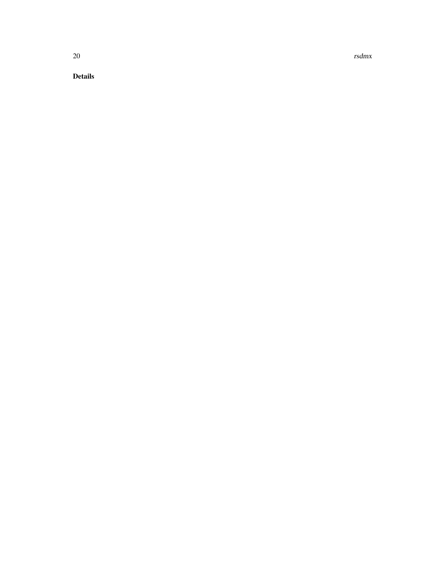20 rsdmx

Details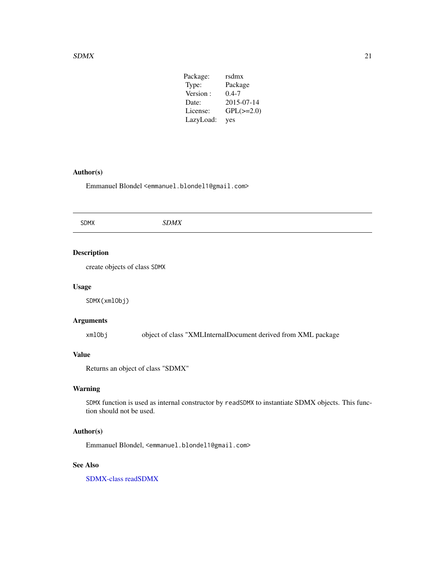#### <span id="page-20-0"></span> $SDMX$  21

| Package:  | rsdmx          |
|-----------|----------------|
| Type:     | Package        |
| Version:  | $0.4 - 7$      |
| Date:     | 2015-07-14     |
| License:  | $GPL(\ge=2.0)$ |
| LazyLoad: | yes            |

## Author(s)

Emmanuel Blondel <emmanuel.blondel1@gmail.com>

| <b>SDMX</b> | <b>SDMX</b> |
|-------------|-------------|
|             |             |

## Description

create objects of class SDMX

#### Usage

SDMX(xmlObj)

## Arguments

xmlObj object of class "XMLInternalDocument derived from XML package

## Value

Returns an object of class "SDMX"

## Warning

SDMX function is used as internal constructor by readSDMX to instantiate SDMX objects. This function should not be used.

## Author(s)

Emmanuel Blondel, <emmanuel.blondel1@gmail.com>

## See Also

[SDMX-class](#page-21-1) [readSDMX](#page-16-1)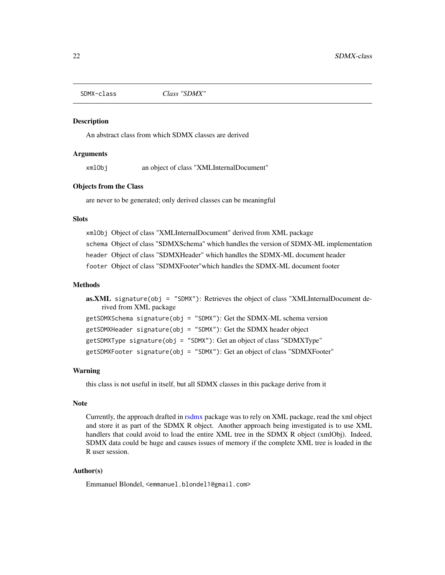<span id="page-21-1"></span><span id="page-21-0"></span>

#### **Description**

An abstract class from which SDMX classes are derived

#### Arguments

xmlObj an object of class "XMLInternalDocument"

#### Objects from the Class

are never to be generated; only derived classes can be meaningful

## **Slots**

xmlObj Object of class "XMLInternalDocument" derived from XML package schema Object of class "SDMXSchema" which handles the version of SDMX-ML implementation header Object of class "SDMXHeader" which handles the SDMX-ML document header footer Object of class "SDMXFooter"which handles the SDMX-ML document footer

#### Methods

```
as. XML signature(obj = "SDMX"): Retrieves the object of class "XMLInternalDocument de-
    rived from XML package
getSDMXSchema signature(obj = "SDMX"): Get the SDMX-ML schema version
getSDMXHeader signature(obj = "SDMX"): Get the SDMX header object
getSDMXType signature(obj = "SDMX"): Get an object of class "SDMXType"
getSDMXFooter signature(obj = "SDMX"): Get an object of class "SDMXFooter"
```
## Warning

this class is not useful in itself, but all SDMX classes in this package derive from it

## Note

Currently, the approach drafted in [rsdmx](#page-18-1) package was to rely on XML package, read the xml object and store it as part of the SDMX R object. Another approach being investigated is to use XML handlers that could avoid to load the entire XML tree in the SDMX R object (xmlObj). Indeed, SDMX data could be huge and causes issues of memory if the complete XML tree is loaded in the R user session.

#### Author(s)

Emmanuel Blondel, <emmanuel.blondel1@gmail.com>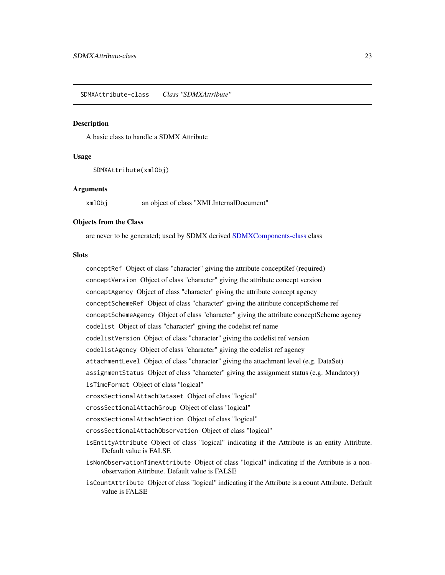## <span id="page-22-1"></span><span id="page-22-0"></span>Description

A basic class to handle a SDMX Attribute

#### Usage

SDMXAttribute(xmlObj)

#### Arguments

xmlObj an object of class "XMLInternalDocument"

#### Objects from the Class

are never to be generated; used by SDMX derived [SDMXComponents-class](#page-26-1) class

## **Slots**

conceptRef Object of class "character" giving the attribute conceptRef (required) conceptVersion Object of class "character" giving the attribute concept version conceptAgency Object of class "character" giving the attribute concept agency conceptSchemeRef Object of class "character" giving the attribute conceptScheme ref conceptSchemeAgency Object of class "character" giving the attribute conceptScheme agency codelist Object of class "character" giving the codelist ref name codelistVersion Object of class "character" giving the codelist ref version codelistAgency Object of class "character" giving the codelist ref agency attachmentLevel Object of class "character" giving the attachment level (e.g. DataSet) assignmentStatus Object of class "character" giving the assignment status (e.g. Mandatory) isTimeFormat Object of class "logical" crossSectionalAttachDataset Object of class "logical" crossSectionalAttachGroup Object of class "logical" crossSectionalAttachSection Object of class "logical" crossSectionalAttachObservation Object of class "logical" isEntityAttribute Object of class "logical" indicating if the Attribute is an entity Attribute. Default value is FALSE isNonObservationTimeAttribute Object of class "logical" indicating if the Attribute is a nonobservation Attribute. Default value is FALSE

isCountAttribute Object of class "logical" indicating if the Attribute is a count Attribute. Default value is FALSE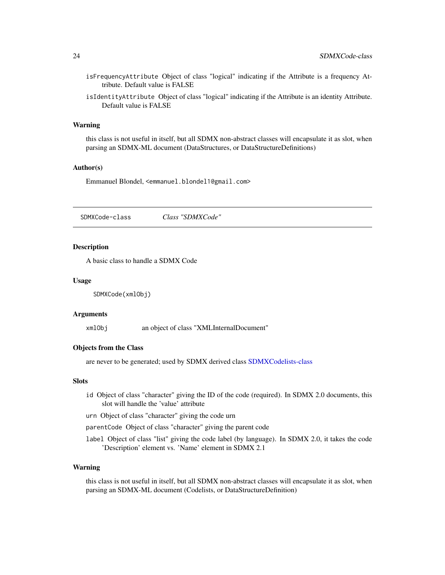- <span id="page-23-0"></span>isFrequencyAttribute Object of class "logical" indicating if the Attribute is a frequency Attribute. Default value is FALSE
- isIdentityAttribute Object of class "logical" indicating if the Attribute is an identity Attribute. Default value is FALSE

#### Warning

this class is not useful in itself, but all SDMX non-abstract classes will encapsulate it as slot, when parsing an SDMX-ML document (DataStructures, or DataStructureDefinitions)

#### Author(s)

Emmanuel Blondel, <emmanuel.blondel1@gmail.com>

<span id="page-23-1"></span>SDMXCode-class *Class "SDMXCode"*

#### Description

A basic class to handle a SDMX Code

#### Usage

SDMXCode(xmlObj)

#### Arguments

xmlObj an object of class "XMLInternalDocument"

#### Objects from the Class

are never to be generated; used by SDMX derived class [SDMXCodelists-class](#page-25-1)

#### Slots

- id Object of class "character" giving the ID of the code (required). In SDMX 2.0 documents, this slot will handle the 'value' attribute
- urn Object of class "character" giving the code urn

parentCode Object of class "character" giving the parent code

label Object of class "list" giving the code label (by language). In SDMX 2.0, it takes the code 'Description' element vs. 'Name' element in SDMX 2.1

#### Warning

this class is not useful in itself, but all SDMX non-abstract classes will encapsulate it as slot, when parsing an SDMX-ML document (Codelists, or DataStructureDefinition)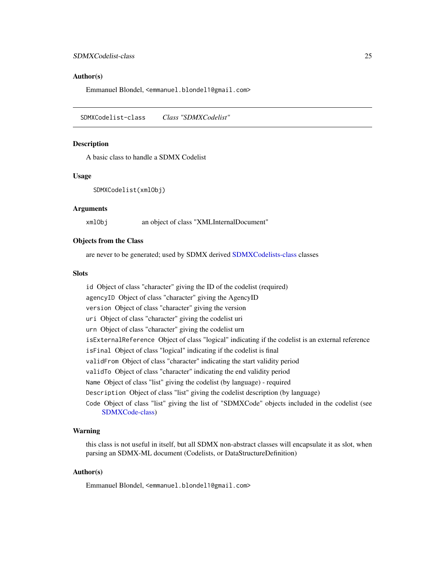#### <span id="page-24-0"></span>Author(s)

Emmanuel Blondel, <emmanuel.blondel1@gmail.com>

<span id="page-24-1"></span>SDMXCodelist-class *Class "SDMXCodelist"*

## Description

A basic class to handle a SDMX Codelist

#### Usage

SDMXCodelist(xmlObj)

#### Arguments

xmlObj an object of class "XMLInternalDocument"

#### Objects from the Class

are never to be generated; used by SDMX derived [SDMXCodelists-class](#page-25-1) classes

#### **Slots**

id Object of class "character" giving the ID of the codelist (required) agencyID Object of class "character" giving the AgencyID version Object of class "character" giving the version uri Object of class "character" giving the codelist uri urn Object of class "character" giving the codelist urn isExternalReference Object of class "logical" indicating if the codelist is an external reference isFinal Object of class "logical" indicating if the codelist is final validFrom Object of class "character" indicating the start validity period validTo Object of class "character" indicating the end validity period Name Object of class "list" giving the codelist (by language) - required Description Object of class "list" giving the codelist description (by language) Code Object of class "list" giving the list of "SDMXCode" objects included in the codelist (see [SDMXCode-class\)](#page-23-1)

## Warning

this class is not useful in itself, but all SDMX non-abstract classes will encapsulate it as slot, when parsing an SDMX-ML document (Codelists, or DataStructureDefinition)

#### Author(s)

Emmanuel Blondel, <emmanuel.blondel1@gmail.com>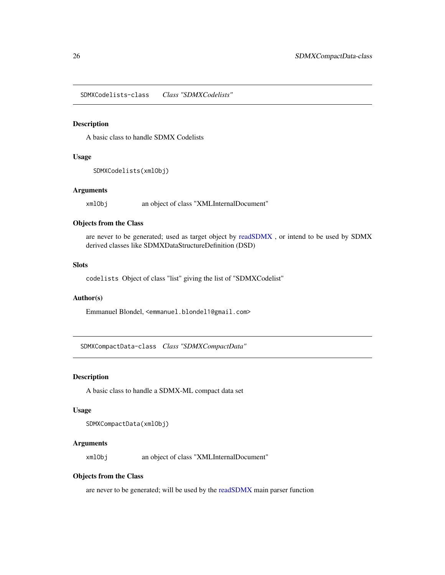<span id="page-25-1"></span><span id="page-25-0"></span>SDMXCodelists-class *Class "SDMXCodelists"*

## Description

A basic class to handle SDMX Codelists

#### Usage

```
SDMXCodelists(xmlObj)
```
#### **Arguments**

xmlObj an object of class "XMLInternalDocument"

## Objects from the Class

are never to be generated; used as target object by [readSDMX](#page-16-1) , or intend to be used by SDMX derived classes like SDMXDataStructureDefinition (DSD)

## **Slots**

codelists Object of class "list" giving the list of "SDMXCodelist"

## Author(s)

Emmanuel Blondel, <emmanuel.blondel1@gmail.com>

SDMXCompactData-class *Class "SDMXCompactData"*

#### Description

A basic class to handle a SDMX-ML compact data set

#### Usage

```
SDMXCompactData(xmlObj)
```
## Arguments

xmlObj an object of class "XMLInternalDocument"

#### Objects from the Class

are never to be generated; will be used by the [readSDMX](#page-16-1) main parser function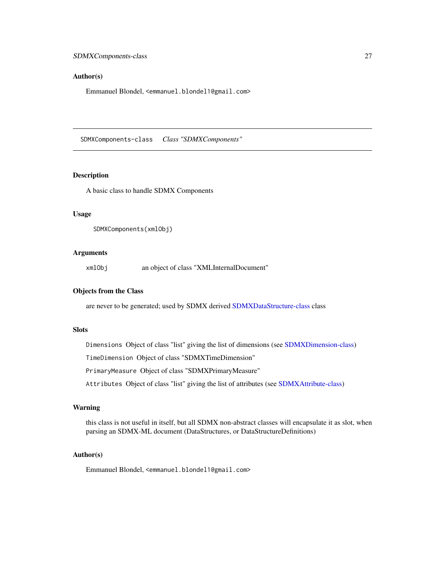#### <span id="page-26-0"></span>Author(s)

Emmanuel Blondel, <emmanuel.blondel1@gmail.com>

<span id="page-26-1"></span>SDMXComponents-class *Class "SDMXComponents"*

#### Description

A basic class to handle SDMX Components

### Usage

```
SDMXComponents(xmlObj)
```
## Arguments

xmlObj an object of class "XMLInternalDocument"

## Objects from the Class

are never to be generated; used by SDMX derived [SDMXDataStructure-class](#page-29-1) class

#### Slots

Dimensions Object of class "list" giving the list of dimensions (see [SDMXDimension-class\)](#page-32-1)

TimeDimension Object of class "SDMXTimeDimension"

PrimaryMeasure Object of class "SDMXPrimaryMeasure"

Attributes Object of class "list" giving the list of attributes (see [SDMXAttribute-class\)](#page-22-1)

## Warning

this class is not useful in itself, but all SDMX non-abstract classes will encapsulate it as slot, when parsing an SDMX-ML document (DataStructures, or DataStructureDefinitions)

## Author(s)

Emmanuel Blondel, <emmanuel.blondel1@gmail.com>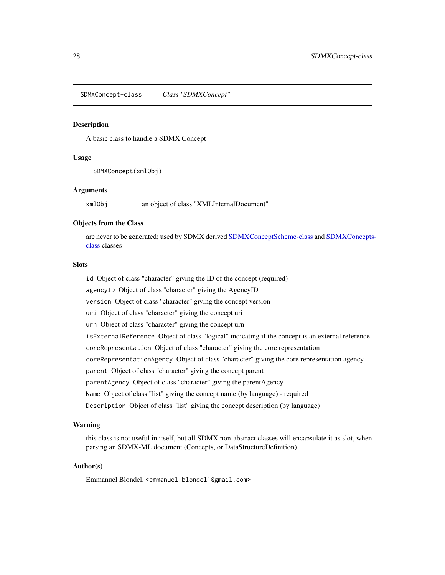<span id="page-27-1"></span><span id="page-27-0"></span>SDMXConcept-class *Class "SDMXConcept"*

#### Description

A basic class to handle a SDMX Concept

#### Usage

SDMXConcept(xmlObj)

#### Arguments

xmlObj an object of class "XMLInternalDocument"

## Objects from the Class

are never to be generated; used by SDMX derived [SDMXConceptScheme-class](#page-28-2) and [SDMXConcepts](#page-28-1)[class](#page-28-1) classes

## **Slots**

id Object of class "character" giving the ID of the concept (required) agencyID Object of class "character" giving the AgencyID version Object of class "character" giving the concept version uri Object of class "character" giving the concept uri urn Object of class "character" giving the concept urn isExternalReference Object of class "logical" indicating if the concept is an external reference coreRepresentation Object of class "character" giving the core representation coreRepresentationAgency Object of class "character" giving the core representation agency parent Object of class "character" giving the concept parent parentAgency Object of class "character" giving the parentAgency Name Object of class "list" giving the concept name (by language) - required Description Object of class "list" giving the concept description (by language)

#### Warning

this class is not useful in itself, but all SDMX non-abstract classes will encapsulate it as slot, when parsing an SDMX-ML document (Concepts, or DataStructureDefinition)

## Author(s)

Emmanuel Blondel, <emmanuel.blondel1@gmail.com>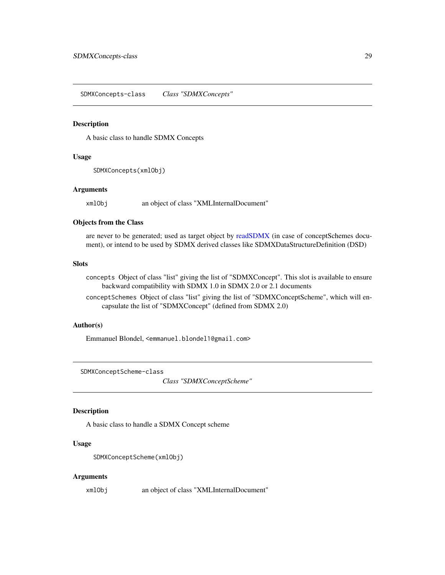<span id="page-28-1"></span><span id="page-28-0"></span>SDMXConcepts-class *Class "SDMXConcepts"*

#### Description

A basic class to handle SDMX Concepts

#### Usage

SDMXConcepts(xmlObj)

#### Arguments

xmlObj an object of class "XMLInternalDocument"

#### Objects from the Class

are never to be generated; used as target object by [readSDMX](#page-16-1) (in case of conceptSchemes document), or intend to be used by SDMX derived classes like SDMXDataStructureDefinition (DSD)

## Slots

concepts Object of class "list" giving the list of "SDMXConcept". This slot is available to ensure backward compatibility with SDMX 1.0 in SDMX 2.0 or 2.1 documents

conceptSchemes Object of class "list" giving the list of "SDMXConceptScheme", which will encapsulate the list of "SDMXConcept" (defined from SDMX 2.0)

#### Author(s)

Emmanuel Blondel, <emmanuel.blondel1@gmail.com>

<span id="page-28-2"></span>SDMXConceptScheme-class

*Class "SDMXConceptScheme"*

## Description

A basic class to handle a SDMX Concept scheme

## Usage

SDMXConceptScheme(xmlObj)

#### Arguments

xmlObj an object of class "XMLInternalDocument"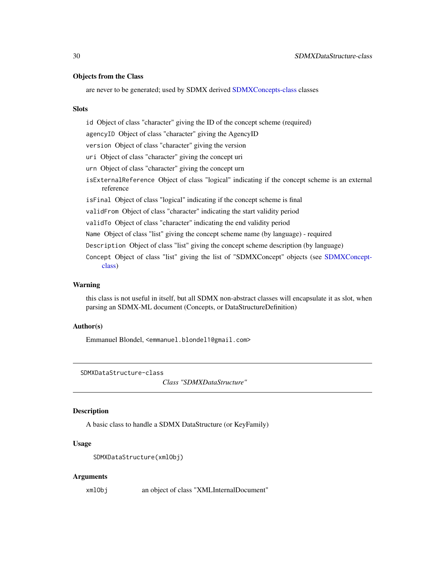#### <span id="page-29-0"></span>Objects from the Class

are never to be generated; used by SDMX derived [SDMXConcepts-class](#page-28-1) classes

#### Slots

id Object of class "character" giving the ID of the concept scheme (required) agencyID Object of class "character" giving the AgencyID version Object of class "character" giving the version uri Object of class "character" giving the concept uri urn Object of class "character" giving the concept urn isExternalReference Object of class "logical" indicating if the concept scheme is an external reference isFinal Object of class "logical" indicating if the concept scheme is final validFrom Object of class "character" indicating the start validity period validTo Object of class "character" indicating the end validity period Name Object of class "list" giving the concept scheme name (by language) - required Description Object of class "list" giving the concept scheme description (by language) Concept Object of class "list" giving the list of "SDMXConcept" objects (see [SDMXConcept](#page-27-1)[class\)](#page-27-1)

## Warning

this class is not useful in itself, but all SDMX non-abstract classes will encapsulate it as slot, when parsing an SDMX-ML document (Concepts, or DataStructureDefinition)

## Author(s)

Emmanuel Blondel, <emmanuel.blondel1@gmail.com>

<span id="page-29-1"></span>SDMXDataStructure-class

*Class "SDMXDataStructure"*

## Description

A basic class to handle a SDMX DataStructure (or KeyFamily)

## Usage

```
SDMXDataStructure(xmlObj)
```
#### Arguments

xmlObj an object of class "XMLInternalDocument"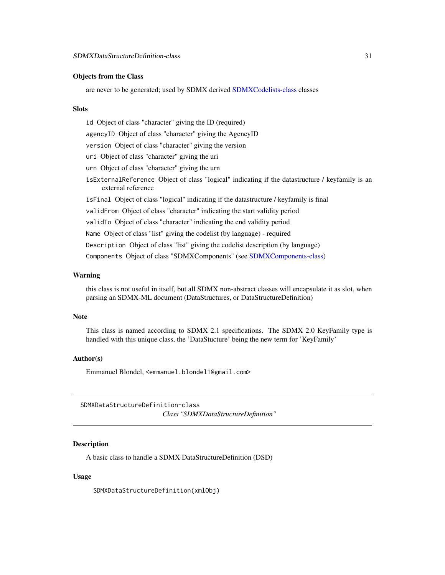#### <span id="page-30-0"></span>Objects from the Class

are never to be generated; used by SDMX derived [SDMXCodelists-class](#page-25-1) classes

#### Slots

id Object of class "character" giving the ID (required) agencyID Object of class "character" giving the AgencyID version Object of class "character" giving the version uri Object of class "character" giving the uri urn Object of class "character" giving the urn isExternalReference Object of class "logical" indicating if the datastructure / keyfamily is an external reference isFinal Object of class "logical" indicating if the datastructure / keyfamily is final validFrom Object of class "character" indicating the start validity period validTo Object of class "character" indicating the end validity period Name Object of class "list" giving the codelist (by language) - required Description Object of class "list" giving the codelist description (by language) Components Object of class "SDMXComponents" (see [SDMXComponents-class\)](#page-26-1)

#### Warning

this class is not useful in itself, but all SDMX non-abstract classes will encapsulate it as slot, when parsing an SDMX-ML document (DataStructures, or DataStructureDefinition)

#### **Note**

This class is named according to SDMX 2.1 specifications. The SDMX 2.0 KeyFamily type is handled with this unique class, the 'DataStucture' being the new term for 'KeyFamily'

## Author(s)

Emmanuel Blondel, <emmanuel.blondel1@gmail.com>

SDMXDataStructureDefinition-class *Class "SDMXDataStructureDefinition"*

## **Description**

A basic class to handle a SDMX DataStructureDefinition (DSD)

#### Usage

SDMXDataStructureDefinition(xmlObj)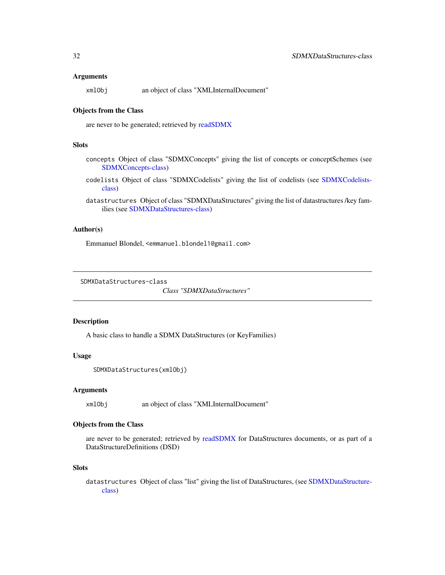#### <span id="page-31-0"></span>**Arguments**

| xmlObj |  | an object of class "XMLInternalDocument" |
|--------|--|------------------------------------------|
|        |  |                                          |

#### Objects from the Class

are never to be generated; retrieved by [readSDMX](#page-16-1)

#### **Slots**

- concepts Object of class "SDMXConcepts" giving the list of concepts or conceptSchemes (see [SDMXConcepts-class\)](#page-28-1)
- codelists Object of class "SDMXCodelists" giving the list of codelists (see [SDMXCodelists](#page-25-1)[class\)](#page-25-1)
- datastructures Object of class "SDMXDataStructures" giving the list of datastructures /key families (see [SDMXDataStructures-class\)](#page-31-1)

#### Author(s)

Emmanuel Blondel, <emmanuel.blondel1@gmail.com>

<span id="page-31-1"></span>SDMXDataStructures-class

*Class "SDMXDataStructures"*

#### Description

A basic class to handle a SDMX DataStructures (or KeyFamilies)

#### Usage

```
SDMXDataStructures(xmlObj)
```
#### Arguments

xmlObj an object of class "XMLInternalDocument"

## Objects from the Class

are never to be generated; retrieved by [readSDMX](#page-16-1) for DataStructures documents, or as part of a DataStructureDefinitions (DSD)

#### Slots

datastructures Object of class "list" giving the list of DataStructures, (see [SDMXDataStructure](#page-29-1)[class\)](#page-29-1)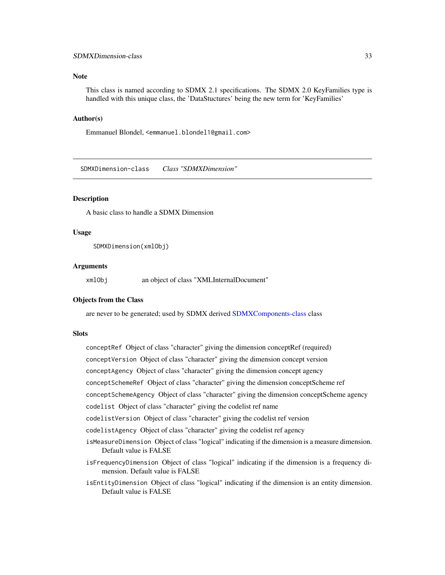#### <span id="page-32-0"></span>SDMXDimension-class 33

#### **Note**

This class is named according to SDMX 2.1 specifications. The SDMX 2.0 KeyFamilies type is handled with this unique class, the 'DataStuctures' being the new term for 'KeyFamilies'

#### Author(s)

Emmanuel Blondel, <emmanuel.blondel1@gmail.com>

<span id="page-32-1"></span>SDMXDimension-class *Class "SDMXDimension"*

#### Description

A basic class to handle a SDMX Dimension

#### Usage

SDMXDimension(xmlObj)

#### Arguments

xmlObj an object of class "XMLInternalDocument"

#### Objects from the Class

are never to be generated; used by SDMX derived [SDMXComponents-class](#page-26-1) class

#### **Slots**

conceptRef Object of class "character" giving the dimension conceptRef (required)

- conceptVersion Object of class "character" giving the dimension concept version
- conceptAgency Object of class "character" giving the dimension concept agency
- conceptSchemeRef Object of class "character" giving the dimension conceptScheme ref
- conceptSchemeAgency Object of class "character" giving the dimension conceptScheme agency
- codelist Object of class "character" giving the codelist ref name
- codelistVersion Object of class "character" giving the codelist ref version
- codelistAgency Object of class "character" giving the codelist ref agency
- isMeasureDimension Object of class "logical" indicating if the dimension is a measure dimension. Default value is FALSE
- isFrequencyDimension Object of class "logical" indicating if the dimension is a frequency dimension. Default value is FALSE
- isEntityDimension Object of class "logical" indicating if the dimension is an entity dimension. Default value is FALSE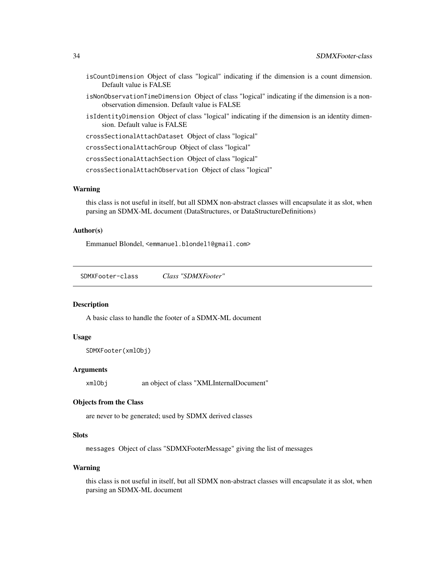- <span id="page-33-0"></span>isCountDimension Object of class "logical" indicating if the dimension is a count dimension. Default value is FALSE
- isNonObservationTimeDimension Object of class "logical" indicating if the dimension is a nonobservation dimension. Default value is FALSE
- isIdentityDimension Object of class "logical" indicating if the dimension is an identity dimension. Default value is FALSE

crossSectionalAttachDataset Object of class "logical"

crossSectionalAttachGroup Object of class "logical"

crossSectionalAttachSection Object of class "logical"

crossSectionalAttachObservation Object of class "logical"

#### Warning

this class is not useful in itself, but all SDMX non-abstract classes will encapsulate it as slot, when parsing an SDMX-ML document (DataStructures, or DataStructureDefinitions)

#### Author(s)

Emmanuel Blondel, <emmanuel.blondel1@gmail.com>

<span id="page-33-1"></span>SDMXFooter-class *Class "SDMXFooter"*

#### **Description**

A basic class to handle the footer of a SDMX-ML document

#### Usage

```
SDMXFooter(xmlObj)
```
#### Arguments

xmlObj an object of class "XMLInternalDocument"

#### Objects from the Class

are never to be generated; used by SDMX derived classes

## **Slots**

messages Object of class "SDMXFooterMessage" giving the list of messages

#### Warning

this class is not useful in itself, but all SDMX non-abstract classes will encapsulate it as slot, when parsing an SDMX-ML document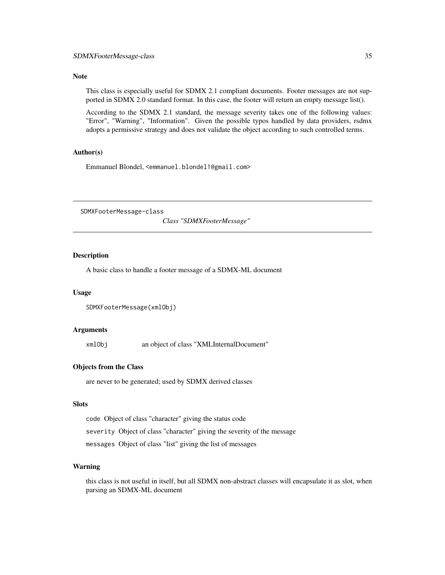#### <span id="page-34-0"></span>Note

This class is especially useful for SDMX 2.1 compliant documents. Footer messages are not supported in SDMX 2.0 standard format. In this case, the footer will return an empty message list().

According to the SDMX 2.1 standard, the message severity takes one of the following values: "Error", "Warning", "Information". Given the possible typos handled by data providers, rsdmx adopts a permissive strategy and does not validate the object according to such controlled terms.

## Author(s)

Emmanuel Blondel, <emmanuel.blondel1@gmail.com>

SDMXFooterMessage-class

*Class "SDMXFooterMessage"*

## **Description**

A basic class to handle a footer message of a SDMX-ML document

#### Usage

```
SDMXFooterMessage(xmlObj)
```
#### Arguments

xmlObj an object of class "XMLInternalDocument"

## Objects from the Class

are never to be generated; used by SDMX derived classes

## Slots

code Object of class "character" giving the status code severity Object of class "character" giving the severity of the message messages Object of class "list" giving the list of messages

## Warning

this class is not useful in itself, but all SDMX non-abstract classes will encapsulate it as slot, when parsing an SDMX-ML document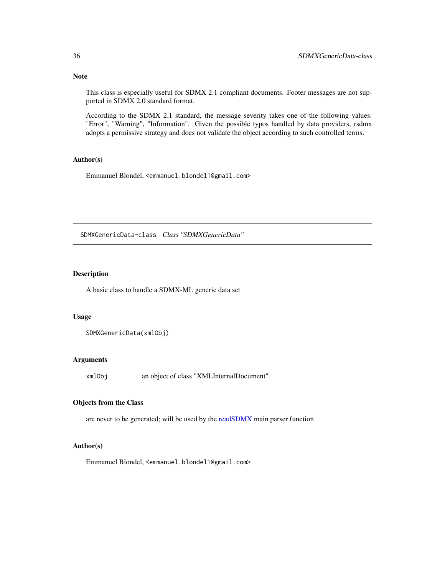<span id="page-35-0"></span>Note

This class is especially useful for SDMX 2.1 compliant documents. Footer messages are not supported in SDMX 2.0 standard format.

According to the SDMX 2.1 standard, the message severity takes one of the following values: "Error", "Warning", "Information". Given the possible typos handled by data providers, rsdmx adopts a permissive strategy and does not validate the object according to such controlled terms.

## Author(s)

Emmanuel Blondel, <emmanuel.blondel1@gmail.com>

SDMXGenericData-class *Class "SDMXGenericData"*

#### Description

A basic class to handle a SDMX-ML generic data set

#### Usage

SDMXGenericData(xmlObj)

## Arguments

xmlObj an object of class "XMLInternalDocument"

## Objects from the Class

are never to be generated; will be used by the [readSDMX](#page-16-1) main parser function

#### Author(s)

Emmanuel Blondel, <emmanuel.blondel1@gmail.com>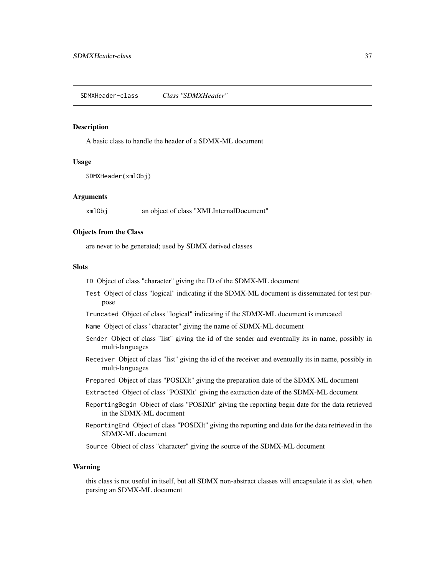#### <span id="page-36-1"></span><span id="page-36-0"></span>Description

A basic class to handle the header of a SDMX-ML document

#### Usage

SDMXHeader(xmlObj)

#### **Arguments**

xmlObj an object of class "XMLInternalDocument"

## Objects from the Class

are never to be generated; used by SDMX derived classes

#### **Slots**

- ID Object of class "character" giving the ID of the SDMX-ML document
- Test Object of class "logical" indicating if the SDMX-ML document is disseminated for test purpose
- Truncated Object of class "logical" indicating if the SDMX-ML document is truncated
- Name Object of class "character" giving the name of SDMX-ML document
- Sender Object of class "list" giving the id of the sender and eventually its in name, possibly in multi-languages
- Receiver Object of class "list" giving the id of the receiver and eventually its in name, possibly in multi-languages
- Prepared Object of class "POSIXlt" giving the preparation date of the SDMX-ML document
- Extracted Object of class "POSIXlt" giving the extraction date of the SDMX-ML document
- ReportingBegin Object of class "POSIXlt" giving the reporting begin date for the data retrieved in the SDMX-ML document
- ReportingEnd Object of class "POSIXlt" giving the reporting end date for the data retrieved in the SDMX-ML document

Source Object of class "character" giving the source of the SDMX-ML document

#### Warning

this class is not useful in itself, but all SDMX non-abstract classes will encapsulate it as slot, when parsing an SDMX-ML document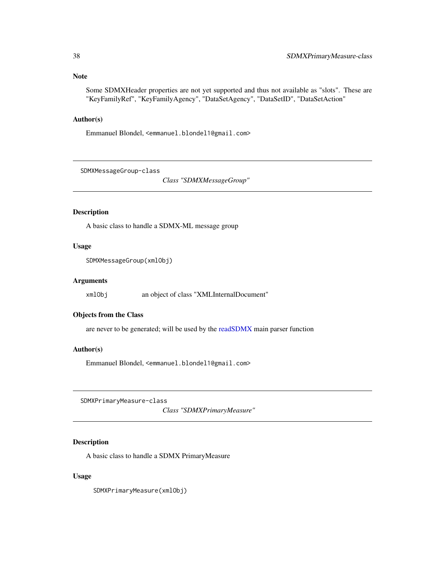## <span id="page-37-0"></span>Note

Some SDMXHeader properties are not yet supported and thus not available as "slots". These are "KeyFamilyRef", "KeyFamilyAgency", "DataSetAgency", "DataSetID", "DataSetAction"

## Author(s)

Emmanuel Blondel, <emmanuel.blondel1@gmail.com>

<span id="page-37-1"></span>SDMXMessageGroup-class

*Class "SDMXMessageGroup"*

## Description

A basic class to handle a SDMX-ML message group

## Usage

SDMXMessageGroup(xmlObj)

#### Arguments

xmlObj an object of class "XMLInternalDocument"

## Objects from the Class

are never to be generated; will be used by the [readSDMX](#page-16-1) main parser function

## Author(s)

Emmanuel Blondel, <emmanuel.blondel1@gmail.com>

SDMXPrimaryMeasure-class

*Class "SDMXPrimaryMeasure"*

#### Description

A basic class to handle a SDMX PrimaryMeasure

#### Usage

SDMXPrimaryMeasure(xmlObj)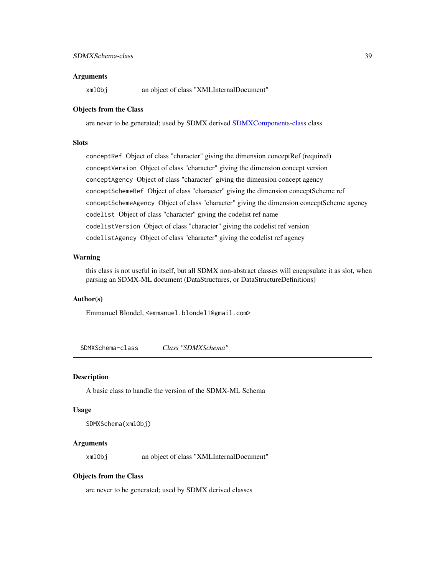## <span id="page-38-0"></span>SDMXSchema-class 39

#### **Arguments**

xmlObj an object of class "XMLInternalDocument"

#### Objects from the Class

are never to be generated; used by SDMX derived [SDMXComponents-class](#page-26-1) class

## **Slots**

conceptRef Object of class "character" giving the dimension conceptRef (required) conceptVersion Object of class "character" giving the dimension concept version conceptAgency Object of class "character" giving the dimension concept agency conceptSchemeRef Object of class "character" giving the dimension conceptScheme ref conceptSchemeAgency Object of class "character" giving the dimension conceptScheme agency codelist Object of class "character" giving the codelist ref name codelistVersion Object of class "character" giving the codelist ref version codelistAgency Object of class "character" giving the codelist ref agency

#### Warning

this class is not useful in itself, but all SDMX non-abstract classes will encapsulate it as slot, when parsing an SDMX-ML document (DataStructures, or DataStructureDefinitions)

### Author(s)

Emmanuel Blondel, <emmanuel.blondel1@gmail.com>

<span id="page-38-1"></span>SDMXSchema-class *Class "SDMXSchema"*

#### Description

A basic class to handle the version of the SDMX-ML Schema

#### Usage

```
SDMXSchema(xmlObj)
```
## Arguments

xmlObj an object of class "XMLInternalDocument"

#### Objects from the Class

are never to be generated; used by SDMX derived classes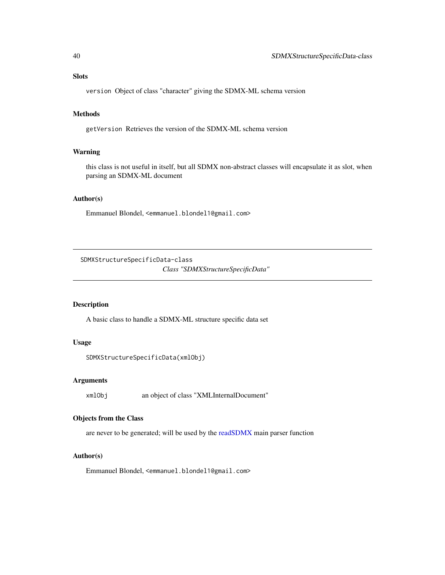## <span id="page-39-0"></span>Slots

version Object of class "character" giving the SDMX-ML schema version

## Methods

getVersion Retrieves the version of the SDMX-ML schema version

## Warning

this class is not useful in itself, but all SDMX non-abstract classes will encapsulate it as slot, when parsing an SDMX-ML document

#### Author(s)

Emmanuel Blondel, <emmanuel.blondel1@gmail.com>

SDMXStructureSpecificData-class

*Class "SDMXStructureSpecificData"*

## Description

A basic class to handle a SDMX-ML structure specific data set

#### Usage

SDMXStructureSpecificData(xmlObj)

### Arguments

xmlObj an object of class "XMLInternalDocument"

#### Objects from the Class

are never to be generated; will be used by the [readSDMX](#page-16-1) main parser function

#### Author(s)

Emmanuel Blondel, <emmanuel.blondel1@gmail.com>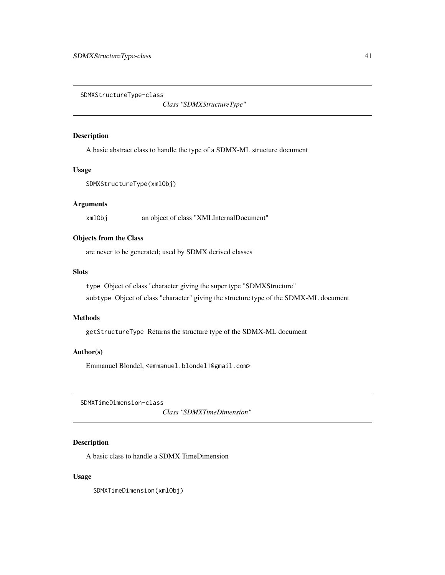<span id="page-40-1"></span><span id="page-40-0"></span>SDMXStructureType-class

*Class "SDMXStructureType"*

## Description

A basic abstract class to handle the type of a SDMX-ML structure document

#### Usage

SDMXStructureType(xmlObj)

## Arguments

xmlObj an object of class "XMLInternalDocument"

## Objects from the Class

are never to be generated; used by SDMX derived classes

#### Slots

type Object of class "character giving the super type "SDMXStructure" subtype Object of class "character" giving the structure type of the SDMX-ML document

#### Methods

getStructureType Returns the structure type of the SDMX-ML document

## Author(s)

Emmanuel Blondel, <emmanuel.blondel1@gmail.com>

SDMXTimeDimension-class

*Class "SDMXTimeDimension"*

## Description

A basic class to handle a SDMX TimeDimension

## Usage

SDMXTimeDimension(xmlObj)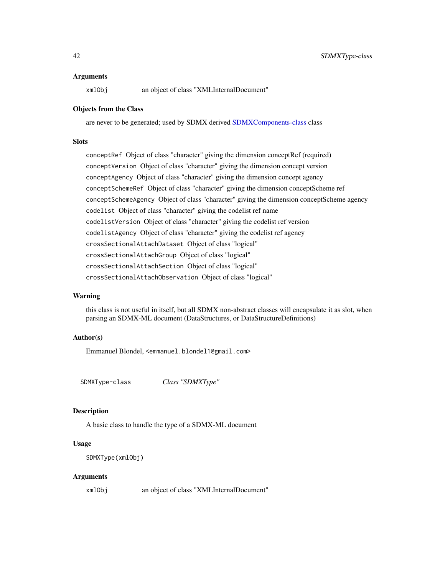#### <span id="page-41-0"></span>Arguments

xmlObj an object of class "XMLInternalDocument"

#### Objects from the Class

are never to be generated; used by SDMX derived [SDMXComponents-class](#page-26-1) class

## **Slots**

conceptRef Object of class "character" giving the dimension conceptRef (required) conceptVersion Object of class "character" giving the dimension concept version conceptAgency Object of class "character" giving the dimension concept agency conceptSchemeRef Object of class "character" giving the dimension conceptScheme ref conceptSchemeAgency Object of class "character" giving the dimension conceptScheme agency codelist Object of class "character" giving the codelist ref name codelistVersion Object of class "character" giving the codelist ref version codelistAgency Object of class "character" giving the codelist ref agency crossSectionalAttachDataset Object of class "logical" crossSectionalAttachGroup Object of class "logical" crossSectionalAttachSection Object of class "logical" crossSectionalAttachObservation Object of class "logical"

## Warning

this class is not useful in itself, but all SDMX non-abstract classes will encapsulate it as slot, when parsing an SDMX-ML document (DataStructures, or DataStructureDefinitions)

#### Author(s)

Emmanuel Blondel, <emmanuel.blondel1@gmail.com>

<span id="page-41-1"></span>SDMXType-class *Class "SDMXType"*

#### Description

A basic class to handle the type of a SDMX-ML document

#### Usage

```
SDMXType(xmlObj)
```
#### Arguments

xmlObj an object of class "XMLInternalDocument"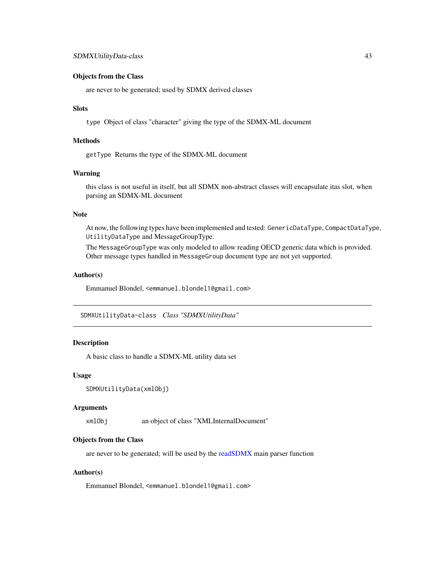#### <span id="page-42-0"></span>Objects from the Class

are never to be generated; used by SDMX derived classes

## Slots

type Object of class "character" giving the type of the SDMX-ML document

## Methods

getType Returns the type of the SDMX-ML document

## Warning

this class is not useful in itself, but all SDMX non-abstract classes will encapsulate itas slot, when parsing an SDMX-ML document

#### Note

At now, the following types have been implemented and tested: GenericDataType, CompactDataType, UtilityDataType and MessageGroupType.

The MessageGroupType was only modeled to allow reading OECD generic data which is provided. Other message types handled in MessageGroup document type are not yet supported.

## Author(s)

Emmanuel Blondel, <emmanuel.blondel1@gmail.com>

SDMXUtilityData-class *Class "SDMXUtilityData"*

## Description

A basic class to handle a SDMX-ML utility data set

#### Usage

```
SDMXUtilityData(xmlObj)
```
#### Arguments

xmlObj an object of class "XMLInternalDocument"

#### Objects from the Class

are never to be generated; will be used by the [readSDMX](#page-16-1) main parser function

#### Author(s)

Emmanuel Blondel, <emmanuel.blondel1@gmail.com>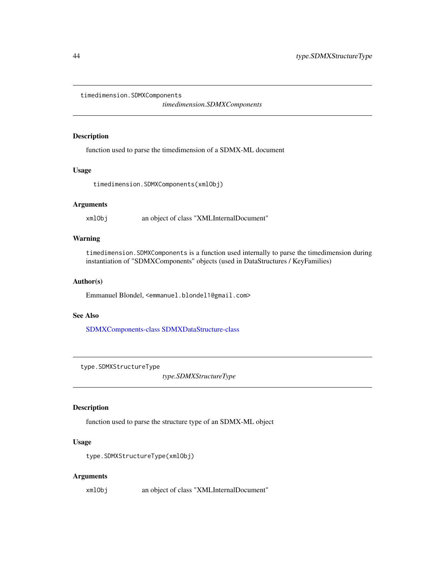<span id="page-43-0"></span>timedimension.SDMXComponents

*timedimension.SDMXComponents*

#### Description

function used to parse the timedimension of a SDMX-ML document

#### Usage

timedimension.SDMXComponents(xmlObj)

#### Arguments

xmlObj an object of class "XMLInternalDocument"

## Warning

timedimension.SDMXComponents is a function used internally to parse the timedimension during instantiation of "SDMXComponents" objects (used in DataStructures / KeyFamilies)

#### Author(s)

Emmanuel Blondel, <emmanuel.blondel1@gmail.com>

## See Also

[SDMXComponents-class](#page-26-1) [SDMXDataStructure-class](#page-29-1)

type.SDMXStructureType

*type.SDMXStructureType*

## Description

function used to parse the structure type of an SDMX-ML object

#### Usage

type.SDMXStructureType(xmlObj)

#### Arguments

xmlObj an object of class "XMLInternalDocument"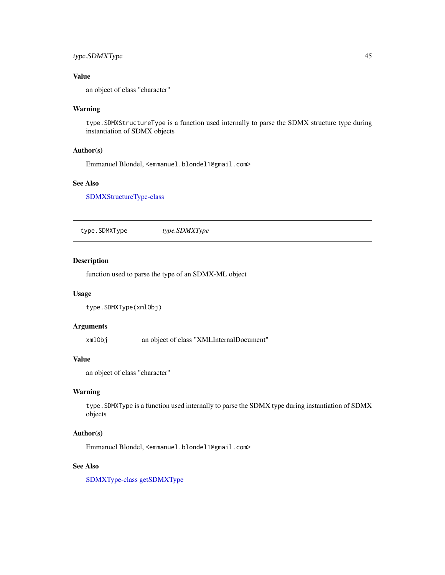## <span id="page-44-0"></span>type.SDMXType 45

## Value

an object of class "character"

#### Warning

type.SDMXStructureType is a function used internally to parse the SDMX structure type during instantiation of SDMX objects

#### Author(s)

Emmanuel Blondel, <emmanuel.blondel1@gmail.com>

## See Also

[SDMXStructureType-class](#page-40-1)

type.SDMXType *type.SDMXType*

#### Description

function used to parse the type of an SDMX-ML object

#### Usage

```
type.SDMXType(xmlObj)
```
## Arguments

xmlObj an object of class "XMLInternalDocument"

## Value

an object of class "character"

## Warning

type.SDMXType is a function used internally to parse the SDMX type during instantiation of SDMX objects

#### Author(s)

Emmanuel Blondel, <emmanuel.blondel1@gmail.com>

## See Also

[SDMXType-class](#page-41-1) [getSDMXType](#page-11-1)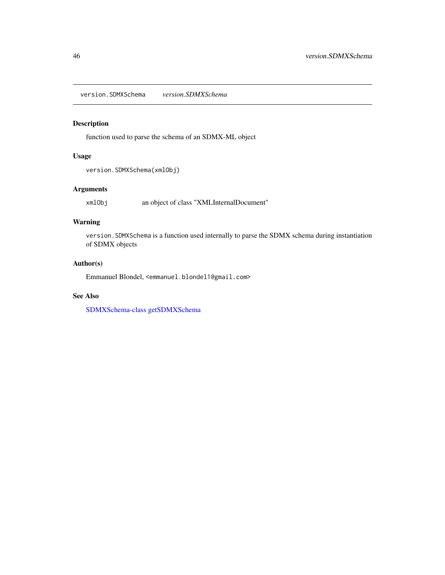<span id="page-45-0"></span>version.SDMXSchema *version.SDMXSchema*

## Description

function used to parse the schema of an SDMX-ML object

## Usage

version.SDMXSchema(xmlObj)

## Arguments

xmlObj an object of class "XMLInternalDocument"

## Warning

version.SDMXSchema is a function used internally to parse the SDMX schema during instantiation of SDMX objects

## Author(s)

Emmanuel Blondel, <emmanuel.blondel1@gmail.com>

## See Also

[SDMXSchema-class](#page-38-1) [getSDMXSchema](#page-10-1)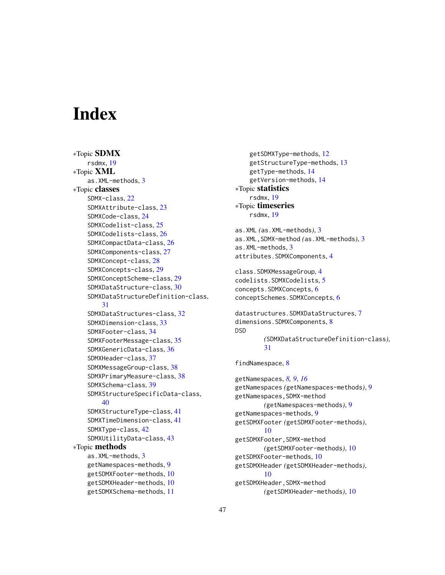# <span id="page-46-0"></span>**Index**

∗Topic SDMX rsdmx, [19](#page-18-0) ∗Topic XML as.XML-methods, [3](#page-2-0) ∗Topic classes SDMX-class, [22](#page-21-0) SDMXAttribute-class, [23](#page-22-0) SDMXCode-class, [24](#page-23-0) SDMXCodelist-class, [25](#page-24-0) SDMXCodelists-class, [26](#page-25-0) SDMXCompactData-class, [26](#page-25-0) SDMXComponents-class, [27](#page-26-0) SDMXConcept-class, [28](#page-27-0) SDMXConcepts-class, [29](#page-28-0) SDMXConceptScheme-class, [29](#page-28-0) SDMXDataStructure-class, [30](#page-29-0) SDMXDataStructureDefinition-class, [31](#page-30-0) SDMXDataStructures-class, [32](#page-31-0) SDMXDimension-class, [33](#page-32-0) SDMXFooter-class, [34](#page-33-0) SDMXFooterMessage-class, [35](#page-34-0) SDMXGenericData-class, [36](#page-35-0) SDMXHeader-class, [37](#page-36-0) SDMXMessageGroup-class, [38](#page-37-0) SDMXPrimaryMeasure-class, [38](#page-37-0) SDMXSchema-class, [39](#page-38-0) SDMXStructureSpecificData-class, [40](#page-39-0) SDMXStructureType-class, [41](#page-40-0) SDMXTimeDimension-class, [41](#page-40-0) SDMXType-class, [42](#page-41-0) SDMXUtilityData-class, [43](#page-42-0) ∗Topic methods as.XML-methods, [3](#page-2-0) getNamespaces-methods, [9](#page-8-0) getSDMXFooter-methods, [10](#page-9-0) getSDMXHeader-methods, [10](#page-9-0) getSDMXSchema-methods, [11](#page-10-0)

getSDMXType-methods, [12](#page-11-0) getStructureType-methods, [13](#page-12-0) getType-methods, [14](#page-13-0) getVersion-methods, [14](#page-13-0) ∗Topic statistics rsdmx, [19](#page-18-0) ∗Topic timeseries rsdmx, [19](#page-18-0) as.XML *(*as.XML-methods*)*, [3](#page-2-0) as.XML,SDMX-method *(*as.XML-methods*)*, [3](#page-2-0) as.XML-methods, [3](#page-2-0) attributes.SDMXComponents, [4](#page-3-0) class.SDMXMessageGroup, [4](#page-3-0) codelists.SDMXCodelists, [5](#page-4-0) concepts.SDMXConcepts, [6](#page-5-0) conceptSchemes.SDMXConcepts, [6](#page-5-0) datastructures.SDMXDataStructures, [7](#page-6-0) dimensions.SDMXComponents, [8](#page-7-0) DSD *(*SDMXDataStructureDefinition-class*)*, [31](#page-30-0) findNamespace, [8](#page-7-0) getNamespaces, *[8,](#page-7-0) [9](#page-8-0)*, *[16](#page-15-0)*

getNamespaces *(*getNamespaces-methods*)*, [9](#page-8-0) getNamespaces,SDMX-method *(*getNamespaces-methods*)*, [9](#page-8-0) getNamespaces-methods, [9](#page-8-0) getSDMXFooter *(*getSDMXFooter-methods*)*, [10](#page-9-0) getSDMXFooter,SDMX-method *(*getSDMXFooter-methods*)*, [10](#page-9-0) getSDMXFooter-methods, [10](#page-9-0) getSDMXHeader *(*getSDMXHeader-methods*)*, [10](#page-9-0) getSDMXHeader,SDMX-method *(*getSDMXHeader-methods*)*, [10](#page-9-0)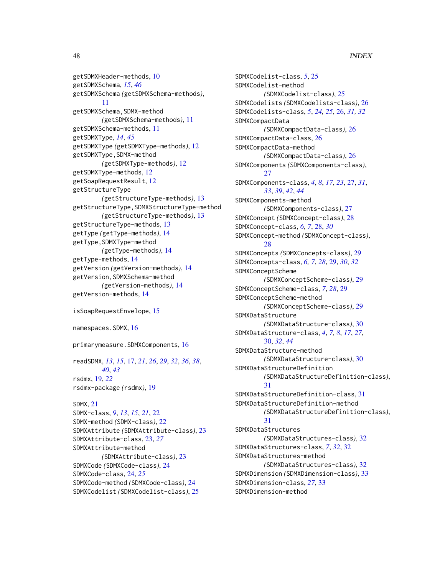getSDMXHeader-methods, [10](#page-9-0) getSDMXSchema, *[15](#page-14-0)*, *[46](#page-45-0)* getSDMXSchema *(*getSDMXSchema-methods*)*, [11](#page-10-0) getSDMXSchema,SDMX-method *(*getSDMXSchema-methods*)*, [11](#page-10-0) getSDMXSchema-methods, [11](#page-10-0) getSDMXType, *[14](#page-13-0)*, *[45](#page-44-0)* getSDMXType *(*getSDMXType-methods*)*, [12](#page-11-0) getSDMXType,SDMX-method *(*getSDMXType-methods*)*, [12](#page-11-0) getSDMXType-methods, [12](#page-11-0) getSoapRequestResult, [12](#page-11-0) getStructureType *(*getStructureType-methods*)*, [13](#page-12-0) getStructureType,SDMXStructureType-method *(*getStructureType-methods*)*, [13](#page-12-0) getStructureType-methods, [13](#page-12-0) getType *(*getType-methods*)*, [14](#page-13-0) getType,SDMXType-method *(*getType-methods*)*, [14](#page-13-0) getType-methods, [14](#page-13-0) getVersion *(*getVersion-methods*)*, [14](#page-13-0) getVersion,SDMXSchema-method *(*getVersion-methods*)*, [14](#page-13-0) getVersion-methods, [14](#page-13-0)

isSoapRequestEnvelope, [15](#page-14-0)

namespaces.SDMX, [16](#page-15-0)

primarymeasure.SDMXComponents, [16](#page-15-0)

readSDMX, *[13](#page-12-0)*, *[15](#page-14-0)*, [17,](#page-16-0) *[21](#page-20-0)*, *[26](#page-25-0)*, *[29](#page-28-0)*, *[32](#page-31-0)*, *[36](#page-35-0)*, *[38](#page-37-0)*, *[40](#page-39-0)*, *[43](#page-42-0)* rsdmx, [19,](#page-18-0) *[22](#page-21-0)* rsdmx-package *(*rsdmx*)*, [19](#page-18-0)

## SDMX, [21](#page-20-0)

SDMX-class, *[9](#page-8-0)*, *[13](#page-12-0)*, *[15](#page-14-0)*, *[21](#page-20-0)*, [22](#page-21-0) SDMX-method *(*SDMX-class*)*, [22](#page-21-0) SDMXAttribute *(*SDMXAttribute-class*)*, [23](#page-22-0) SDMXAttribute-class, [23,](#page-22-0) *[27](#page-26-0)* SDMXAttribute-method *(*SDMXAttribute-class*)*, [23](#page-22-0) SDMXCode *(*SDMXCode-class*)*, [24](#page-23-0) SDMXCode-class, [24,](#page-23-0) *[25](#page-24-0)* SDMXCode-method *(*SDMXCode-class*)*, [24](#page-23-0) SDMXCodelist *(*SDMXCodelist-class*)*, [25](#page-24-0)

SDMXCodelist-class, *[5](#page-4-0)*, [25](#page-24-0) SDMXCodelist-method *(*SDMXCodelist-class*)*, [25](#page-24-0) SDMXCodelists *(*SDMXCodelists-class*)*, [26](#page-25-0) SDMXCodelists-class, *[5](#page-4-0)*, *[24,](#page-23-0) [25](#page-24-0)*, [26,](#page-25-0) *[31,](#page-30-0) [32](#page-31-0)* SDMXCompactData *(*SDMXCompactData-class*)*, [26](#page-25-0) SDMXCompactData-class, [26](#page-25-0) SDMXCompactData-method *(*SDMXCompactData-class*)*, [26](#page-25-0) SDMXComponents *(*SDMXComponents-class*)*, [27](#page-26-0) SDMXComponents-class, *[4](#page-3-0)*, *[8](#page-7-0)*, *[17](#page-16-0)*, *[23](#page-22-0)*, [27,](#page-26-0) *[31](#page-30-0)*, *[33](#page-32-0)*, *[39](#page-38-0)*, *[42](#page-41-0)*, *[44](#page-43-0)* SDMXComponents-method *(*SDMXComponents-class*)*, [27](#page-26-0) SDMXConcept *(*SDMXConcept-class*)*, [28](#page-27-0) SDMXConcept-class, *[6,](#page-5-0) [7](#page-6-0)*, [28,](#page-27-0) *[30](#page-29-0)* SDMXConcept-method *(*SDMXConcept-class*)*, [28](#page-27-0) SDMXConcepts *(*SDMXConcepts-class*)*, [29](#page-28-0) SDMXConcepts-class, *[6,](#page-5-0) [7](#page-6-0)*, *[28](#page-27-0)*, [29,](#page-28-0) *[30](#page-29-0)*, *[32](#page-31-0)* SDMXConceptScheme *(*SDMXConceptScheme-class*)*, [29](#page-28-0) SDMXConceptScheme-class, *[7](#page-6-0)*, *[28](#page-27-0)*, [29](#page-28-0) SDMXConceptScheme-method *(*SDMXConceptScheme-class*)*, [29](#page-28-0) SDMXDataStructure *(*SDMXDataStructure-class*)*, [30](#page-29-0) SDMXDataStructure-class, *[4](#page-3-0)*, *[7,](#page-6-0) [8](#page-7-0)*, *[17](#page-16-0)*, *[27](#page-26-0)*, [30,](#page-29-0) *[32](#page-31-0)*, *[44](#page-43-0)* SDMXDataStructure-method *(*SDMXDataStructure-class*)*, [30](#page-29-0) SDMXDataStructureDefinition *(*SDMXDataStructureDefinition-class*)*, [31](#page-30-0) SDMXDataStructureDefinition-class, [31](#page-30-0) SDMXDataStructureDefinition-method *(*SDMXDataStructureDefinition-class*)*, [31](#page-30-0) SDMXDataStructures *(*SDMXDataStructures-class*)*, [32](#page-31-0) SDMXDataStructures-class, *[7](#page-6-0)*, *[32](#page-31-0)*, [32](#page-31-0) SDMXDataStructures-method *(*SDMXDataStructures-class*)*, [32](#page-31-0) SDMXDimension *(*SDMXDimension-class*)*, [33](#page-32-0) SDMXDimension-class, *[27](#page-26-0)*, [33](#page-32-0) SDMXDimension-method